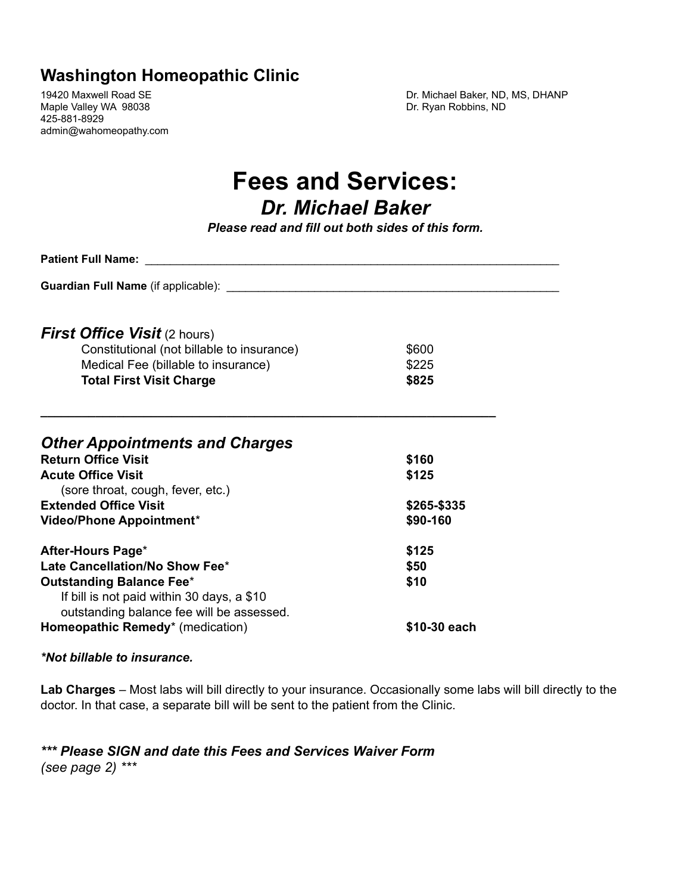## **Washington Homeopathic Clinic**

Maple Valley WA 98038 **Dr. Ryan Robbins, ND** 425-881-8929 admin@wahomeopathy.com

19420 Maxwell Road SE **Dr. Michael Baker, ND, MS, DHANP** 

# **Fees and Services: Dr. Michael Baker**

*Please read and fill out both sides of this form.* 

| <b>Patient Full Name:</b>                                           |              |  |
|---------------------------------------------------------------------|--------------|--|
|                                                                     |              |  |
|                                                                     |              |  |
| <b>First Office Visit (2 hours)</b>                                 |              |  |
| Constitutional (not billable to insurance)                          | \$600        |  |
| Medical Fee (billable to insurance)                                 | \$225        |  |
| <b>Total First Visit Charge</b>                                     | \$825        |  |
|                                                                     |              |  |
|                                                                     |              |  |
|                                                                     |              |  |
| <b>Other Appointments and Charges</b><br><b>Return Office Visit</b> |              |  |
|                                                                     | \$160        |  |
| <b>Acute Office Visit</b>                                           | \$125        |  |
| (sore throat, cough, fever, etc.)                                   |              |  |
| <b>Extended Office Visit</b>                                        | \$265-\$335  |  |
| Video/Phone Appointment*                                            | \$90-160     |  |
| After-Hours Page*                                                   | \$125        |  |
| Late Cancellation/No Show Fee*                                      | \$50         |  |
| <b>Outstanding Balance Fee*</b>                                     | \$10         |  |
| If bill is not paid within 30 days, a \$10                          |              |  |
| outstanding balance fee will be assessed.                           |              |  |
| Homeopathic Remedy* (medication)                                    | \$10-30 each |  |
|                                                                     |              |  |

#### $*$ *Not billable to insurance.*

Lab Charges - Most labs will bill directly to your insurance. Occasionally some labs will bill directly to the doctor. In that case, a separate bill will be sent to the patient from the Clinic.

\*\*\* Please SIGN and date this Fees and Services Waiver Form *(see page 2)* \*\*\*